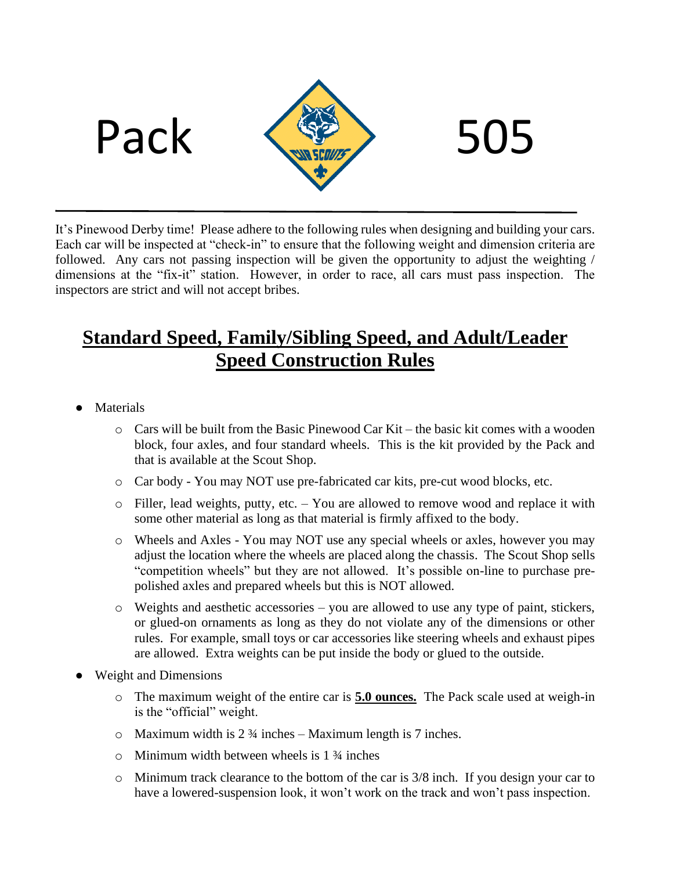



It's Pinewood Derby time! Please adhere to the following rules when designing and building your cars. Each car will be inspected at "check-in" to ensure that the following weight and dimension criteria are followed. Any cars not passing inspection will be given the opportunity to adjust the weighting / dimensions at the "fix-it" station. However, in order to race, all cars must pass inspection. The inspectors are strict and will not accept bribes.

## **Standard Speed, Family/Sibling Speed, and Adult/Leader Speed Construction Rules**

- **Materials** 
	- o Cars will be built from the Basic Pinewood Car Kit the basic kit comes with a wooden block, four axles, and four standard wheels. This is the kit provided by the Pack and that is available at the Scout Shop.
	- o Car body You may NOT use pre-fabricated car kits, pre-cut wood blocks, etc.
	- o Filler, lead weights, putty, etc. You are allowed to remove wood and replace it with some other material as long as that material is firmly affixed to the body.
	- o Wheels and Axles You may NOT use any special wheels or axles, however you may adjust the location where the wheels are placed along the chassis. The Scout Shop sells "competition wheels" but they are not allowed. It's possible on-line to purchase prepolished axles and prepared wheels but this is NOT allowed.
	- o Weights and aesthetic accessories you are allowed to use any type of paint, stickers, or glued-on ornaments as long as they do not violate any of the dimensions or other rules. For example, small toys or car accessories like steering wheels and exhaust pipes are allowed. Extra weights can be put inside the body or glued to the outside.
- Weight and Dimensions
	- o The maximum weight of the entire car is **5.0 ounces.** The Pack scale used at weigh-in is the "official" weight.
	- $\circ$  Maximum width is 2  $\frac{3}{4}$  inches Maximum length is 7 inches.
	- $\circ$  Minimum width between wheels is 1  $\frac{3}{4}$  inches
	- o Minimum track clearance to the bottom of the car is 3/8 inch. If you design your car to have a lowered-suspension look, it won't work on the track and won't pass inspection.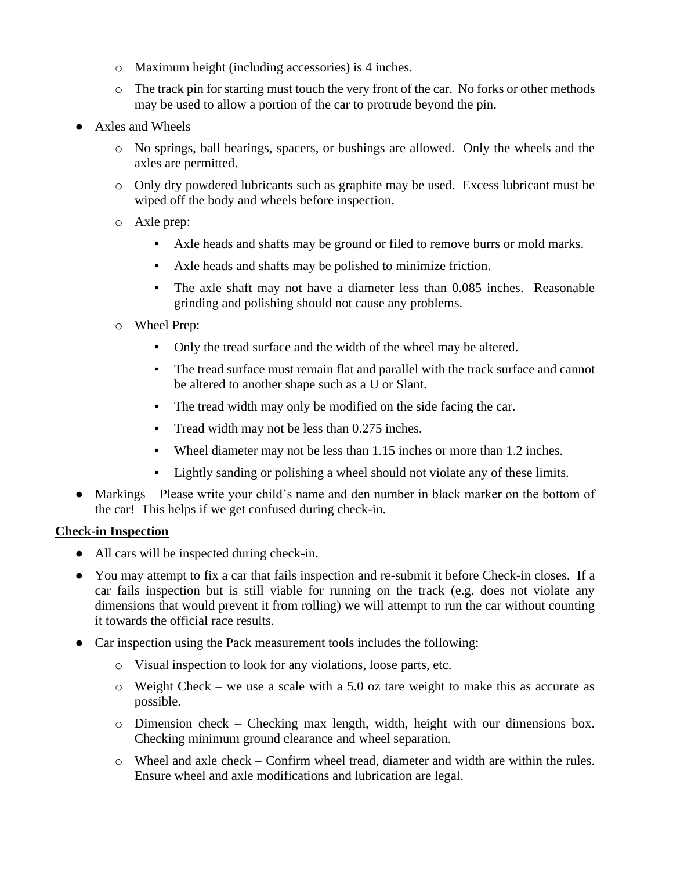- o Maximum height (including accessories) is 4 inches.
- $\circ$  The track pin for starting must touch the very front of the car. No forks or other methods may be used to allow a portion of the car to protrude beyond the pin.
- Axles and Wheels
	- o No springs, ball bearings, spacers, or bushings are allowed. Only the wheels and the axles are permitted.
	- o Only dry powdered lubricants such as graphite may be used. Excess lubricant must be wiped off the body and wheels before inspection.
	- o Axle prep:
		- Axle heads and shafts may be ground or filed to remove burrs or mold marks.
		- Axle heads and shafts may be polished to minimize friction.
		- The axle shaft may not have a diameter less than 0.085 inches. Reasonable grinding and polishing should not cause any problems.
	- o Wheel Prep:
		- Only the tread surface and the width of the wheel may be altered.
		- The tread surface must remain flat and parallel with the track surface and cannot be altered to another shape such as a U or Slant.
		- The tread width may only be modified on the side facing the car.
		- **•** Tread width may not be less than 0.275 inches.
		- Wheel diameter may not be less than 1.15 inches or more than 1.2 inches.
		- Lightly sanding or polishing a wheel should not violate any of these limits.
- Markings Please write your child's name and den number in black marker on the bottom of the car! This helps if we get confused during check-in.

## **Check-in Inspection**

- All cars will be inspected during check-in.
- You may attempt to fix a car that fails inspection and re-submit it before Check-in closes. If a car fails inspection but is still viable for running on the track (e.g. does not violate any dimensions that would prevent it from rolling) we will attempt to run the car without counting it towards the official race results.
- Car inspection using the Pack measurement tools includes the following:
	- o Visual inspection to look for any violations, loose parts, etc.
	- o Weight Check we use a scale with a 5.0 oz tare weight to make this as accurate as possible.
	- o Dimension check Checking max length, width, height with our dimensions box. Checking minimum ground clearance and wheel separation.
	- o Wheel and axle check Confirm wheel tread, diameter and width are within the rules. Ensure wheel and axle modifications and lubrication are legal.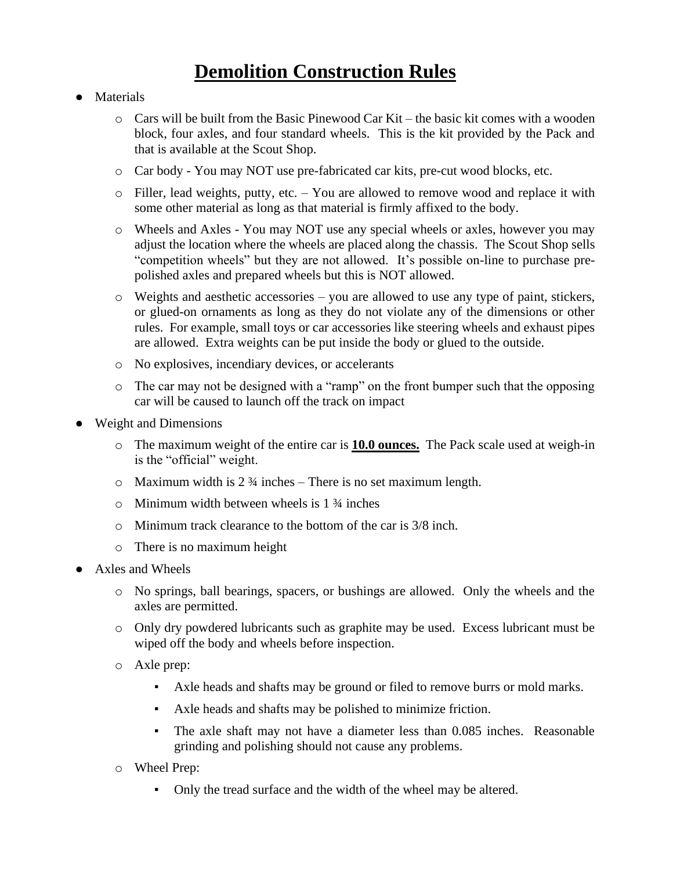## **Demolition Construction Rules**

- Materials
	- $\circ$  Cars will be built from the Basic Pinewood Car Kit the basic kit comes with a wooden block, four axles, and four standard wheels. This is the kit provided by the Pack and that is available at the Scout Shop.
	- o Car body You may NOT use pre-fabricated car kits, pre-cut wood blocks, etc.
	- o Filler, lead weights, putty, etc. You are allowed to remove wood and replace it with some other material as long as that material is firmly affixed to the body.
	- o Wheels and Axles You may NOT use any special wheels or axles, however you may adjust the location where the wheels are placed along the chassis. The Scout Shop sells "competition wheels" but they are not allowed. It's possible on-line to purchase prepolished axles and prepared wheels but this is NOT allowed.
	- $\circ$  Weights and aesthetic accessories you are allowed to use any type of paint, stickers, or glued-on ornaments as long as they do not violate any of the dimensions or other rules. For example, small toys or car accessories like steering wheels and exhaust pipes are allowed. Extra weights can be put inside the body or glued to the outside.
	- o No explosives, incendiary devices, or accelerants
	- o The car may not be designed with a "ramp" on the front bumper such that the opposing car will be caused to launch off the track on impact
- **Weight and Dimensions** 
	- o The maximum weight of the entire car is **10.0 ounces.** The Pack scale used at weigh-in is the "official" weight.
	- $\circ$  Maximum width is 2 % inches There is no set maximum length.
	- $\circ$  Minimum width between wheels is 1  $\frac{3}{4}$  inches
	- o Minimum track clearance to the bottom of the car is 3/8 inch.
	- o There is no maximum height
- Axles and Wheels
	- o No springs, ball bearings, spacers, or bushings are allowed. Only the wheels and the axles are permitted.
	- o Only dry powdered lubricants such as graphite may be used. Excess lubricant must be wiped off the body and wheels before inspection.
	- o Axle prep:
		- Axle heads and shafts may be ground or filed to remove burrs or mold marks.
		- Axle heads and shafts may be polished to minimize friction.
		- The axle shaft may not have a diameter less than 0.085 inches. Reasonable grinding and polishing should not cause any problems.
	- o Wheel Prep:
		- Only the tread surface and the width of the wheel may be altered.